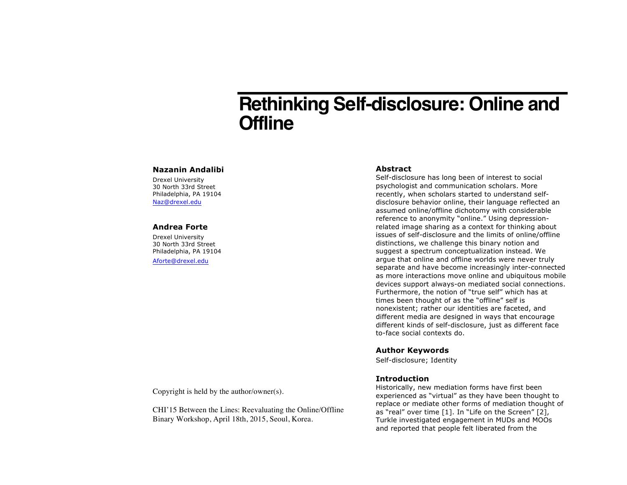# **Rethinking Self-disclosure: Online and Offline**

#### **Nazanin Andalibi**

Drexel University 30 North 33rd Street Philadelphia, PA 19104 Naz@drexel.edu

## **Andrea Forte**

Drexel University 30 North 33rd Street Philadelphia, PA 19104 Aforte@drexel.edu

## **Abstract**

Self-disclosure has long been of interest to social psychologist and communication scholars. More recently, when scholars started to understand selfdisclosure behavior online, their language reflected an assumed online/offline dichotomy with considerable reference to anonymity "online." Using depressionrelated image sharing as a context for thinking about issues of self-disclosure and the limits of online/offline distinctions, we challenge this binary notion and suggest a spectrum conceptualization instead. We argue that online and offline worlds were never truly separate and have become increasingly inter-connected as more interactions move online and ubiquitous mobile devices support always-on mediated social connections. Furthermore, the notion of "true self" which has at times been thought of as the "offline" self is nonexistent; rather our identities are faceted, and different media are designed in ways that encourage different kinds of self-disclosure, just as different face to-face social contexts do.

## **Author Keywords**

Self-disclosure; Identity

## **Introduction**

Historically, new mediation forms have first been experienced as "virtual" as they have been thought to replace or mediate other forms of mediation thought of as "real" over time [1]. In "Life on the Screen" [2], Turkle investigated engagement in MUDs and MOOs and reported that people felt liberated from the

Copyright is held by the author/owner(s).

CHI'15 Between the Lines: Reevaluating the Online/Offline Binary Workshop, April 18th, 2015, Seoul, Korea.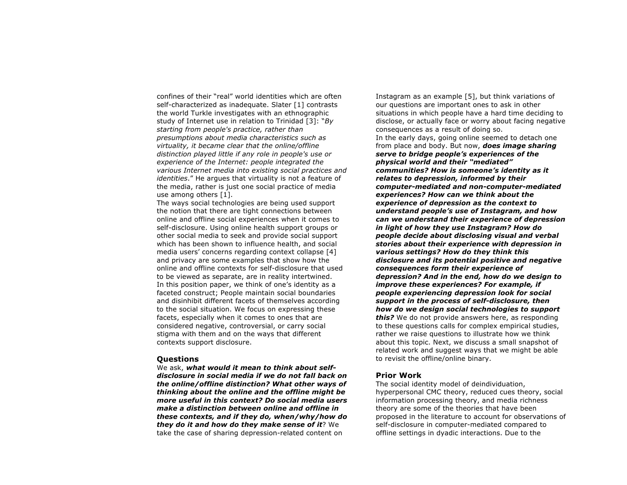confines of their "real" world identities which are often self-characterized as inadequate. Slater [1] contrasts the world Turkle investigates with an ethnographic study of Internet use in relation to Trinidad [3]: "*By starting from people's practice, rather than presumptions about media characteristics such as virtuality, it became clear that the online/offline distinction played little if any role in people's use or experience of the Internet: people integrated the various Internet media into existing social practices and identities*." He argues that virtuality is not a feature of the media, rather is just one social practice of media use among others [1].

The ways social technologies are being used support the notion that there are tight connections between online and offline social experiences when it comes to self-disclosure. Using online health support groups or other social media to seek and provide social support which has been shown to influence health, and social media users' concerns regarding context collapse [4] and privacy are some examples that show how the online and offline contexts for self-disclosure that used to be viewed as separate, are in reality intertwined. In this position paper, we think of one's identity as a faceted construct; People maintain social boundaries and disinhibit different facets of themselves according to the social situation. We focus on expressing these facets, especially when it comes to ones that are considered negative, controversial, or carry social stigma with them and on the ways that different contexts support disclosure.

#### **Questions**

We ask, *what would it mean to think about selfdisclosure in social media if we do not fall back on the online/offline distinction? What other ways of thinking about the online and the offline might be more useful in this context? Do social media users make a distinction between online and offline in these contexts, and if they do, when/why/how do they do it and how do they make sense of it*? We take the case of sharing depression-related content on

Instagram as an example [5], but think variations of our questions are important ones to ask in other situations in which people have a hard time deciding to disclose, or actually face or worry about facing negative consequences as a result of doing so. In the early days, going online seemed to detach one from place and body. But now, *does image sharing serve to bridge people's experiences of the physical world and their "mediated" communities? How is someone's identity as it relates to depression, informed by their computer-mediated and non-computer-mediated experiences? How can we think about the experience of depression as the context to understand people's use of Instagram, and how can we understand their experience of depression in light of how they use Instagram? How do people decide about disclosing visual and verbal stories about their experience with depression in various settings? How do they think this disclosure and its potential positive and negative consequences form their experience of depression? And in the end, how do we design to improve these experiences? For example, if people experiencing depression look for social support in the process of self-disclosure, then how do we design social technologies to support this?* We do not provide answers here, as responding to these questions calls for complex empirical studies, rather we raise questions to illustrate how we think about this topic. Next, we discuss a small snapshot of related work and suggest ways that we might be able to revisit the offline/online binary.

## **Prior Work**

The social identity model of deindividuation, hyperpersonal CMC theory, reduced cues theory, social information processing theory, and media richness theory are some of the theories that have been proposed in the literature to account for observations of self-disclosure in computer-mediated compared to offline settings in dyadic interactions. Due to the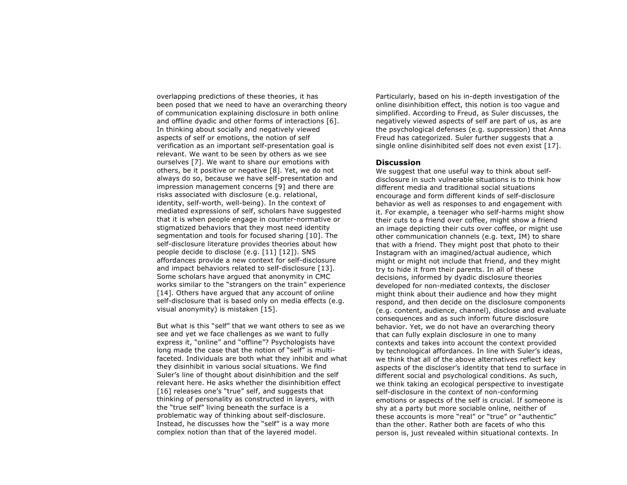overlapping predictions of these theories, it has been posed that we need to have an overarching theory of communication explaining disclosure in both online and offline dyadic and other forms of interactions [6]. In thinking about socially and negatively viewed aspects of self or emotions, the notion of self verification as an important self-presentation goal is relevant. We want to be seen by others as we see ourselves [7]. We want to share our emotions with others, be it positive or negative [8]. Yet, we do not always do so, because we have self-presentation and impression management concerns [9] and there are risks associated with disclosure (e.g. relational, identity, self-worth, well-being). In the context of mediated expressions of self, scholars have suggested that it is when people engage in counter-normative or stigmatized behaviors that they most need identity segmentation and tools for focused sharing [10]. The self-disclosure literature provides theories about how people decide to disclose (e.g. [11] [12]). SNS affordances provide a new context for self-disclosure and impact behaviors related to self-disclosure [13]. Some scholars have argued that anonymity in CMC works similar to the "strangers on the train" experience [14]. Others have argued that any account of online self-disclosure that is based only on media effects (e.g. visual anonymity) is mistaken [15].

But what is this "self" that we want others to see as we see and yet we face challenges as we want to fully express it, "online" and "offline"? Psychologists have long made the case that the notion of "self" is multifaceted. Individuals are both what they inhibit and what they disinhibit in various social situations. We find Suler's line of thought about disinhibition and the self relevant here. He asks whether the disinhibition effect [16] releases one's "true" self, and suggests that thinking of personality as constructed in layers, with the "true self" living beneath the surface is a problematic way of thinking about self-disclosure. Instead, he discusses how the "self" is a way more complex notion than that of the layered model.

Particularly, based on his in-depth investigation of the online disinhibition effect, this notion is too vague and simplified. According to Freud, as Suler discusses, the negatively viewed aspects of self are part of us, as are the psychological defenses (e.g. suppression) that Anna Freud has categorized. Suler further suggests that a single online disinhibited self does not even exist [17].

#### **Discussion**

We suggest that one useful way to think about selfdisclosure in such vulnerable situations is to think how different media and traditional social situations encourage and form different kinds of self-disclosure behavior as well as responses to and engagement with it. For example, a teenager who self-harms might show their cuts to a friend over coffee, might show a friend an image depicting their cuts over coffee, or might use other communication channels (e.g. text, IM) to share that with a friend. They might post that photo to their Instagram with an imagined/actual audience, which might or might not include that friend, and they might try to hide it from their parents. In all of these decisions, informed by dyadic disclosure theories developed for non-mediated contexts, the discloser might think about their audience and how they might respond, and then decide on the disclosure components (e.g. content, audience, channel), disclose and evaluate consequences and as such inform future disclosure behavior. Yet, we do not have an overarching theory that can fully explain disclosure in one to many contexts and takes into account the context provided by technological affordances. In line with Suler's ideas, we think that all of the above alternatives reflect key aspects of the discloser's identity that tend to surface in different social and psychological conditions. As such, we think taking an ecological perspective to investigate self-disclosure in the context of non-conforming emotions or aspects of the self is crucial. If someone is shy at a party but more sociable online, neither of these accounts is more "real" or "true" or "authentic" than the other. Rather both are facets of who this person is, just revealed within situational contexts. In